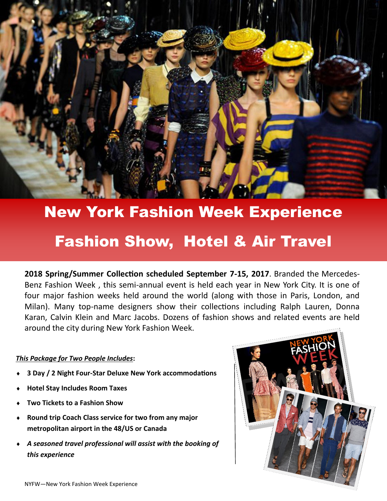

# New York Fashion Week Experience

## Fashion Show, Hotel & Air Travel

**2018 Spring/Summer Collection scheduled September 7-15, 2017**. Branded the Mercedes-Benz Fashion Week , this semi-annual event is held each year in New York City. It is one of four major fashion weeks held around the world (along with those in Paris, London, and Milan). Many top-name designers show their collections including Ralph Lauren, Donna Karan, Calvin Klein and Marc Jacobs. Dozens of fashion shows and related events are held around the city during New York Fashion Week.

#### *This Package for Two People Includes***:**

- **3 Day / 2 Night Four-Star Deluxe New York accommodations**
- **Hotel Stay Includes Room Taxes**
- **Two Tickets to a Fashion Show**
- **Round trip Coach Class service for two from any major metropolitan airport in the 48/US or Canada**
- *A seasoned travel professional will assist with the booking of this experience*